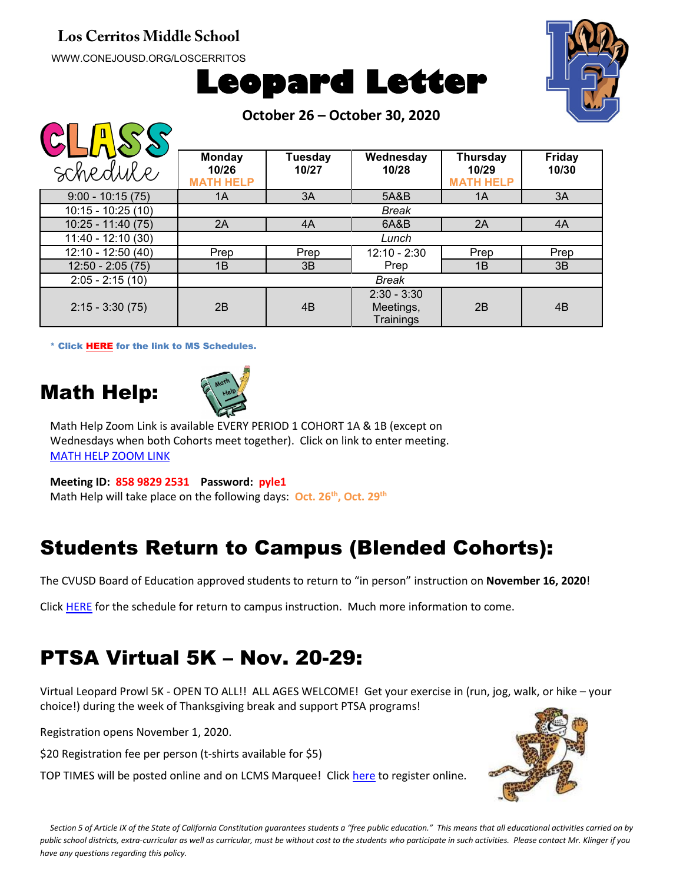#### **Los Cerritos Middle School**

WWW.CONEJOUSD.ORG/LOSCERRITOS





**October 26 – October 30, 2020**

| $\mathcal{S}(\mathcal{A})$ |                                            |                         |                                         |                                              |                        |
|----------------------------|--------------------------------------------|-------------------------|-----------------------------------------|----------------------------------------------|------------------------|
| schedule                   | <b>Monday</b><br>10/26<br><b>MATH HELP</b> | <b>Tuesday</b><br>10/27 | Wednesday<br>10/28                      | <b>Thursday</b><br>10/29<br><b>MATH HELP</b> | <b>Friday</b><br>10/30 |
| $9:00 - 10:15(75)$         | 1A                                         | 3A                      | 5A&B                                    | 1A                                           | 3A                     |
| $10:15 - 10:25(10)$        | <b>Break</b>                               |                         |                                         |                                              |                        |
| $10:25 - 11:40(75)$        | 2A                                         | 4A                      | 6A&B                                    | 2A                                           | 4A                     |
| $11:40 - 12:10(30)$        | Lunch                                      |                         |                                         |                                              |                        |
| 12:10 - 12:50 (40)         | Prep                                       | Prep                    | $12:10 - 2:30$                          | Prep                                         | Prep                   |
| $12:50 - 2:05(75)$         | 1B                                         | 3B                      | Prep                                    | 1B                                           | 3B                     |
| $2:05 - 2:15(10)$          |                                            |                         | <b>Break</b>                            |                                              |                        |
| $2:15 - 3:30(75)$          | 2B                                         | 4B                      | $2:30 - 3:30$<br>Meetings,<br>Trainings | 2B                                           | 4B                     |

\* Click [HERE](https://www.conejousd.org/Portals/41/2020-2021/Middle%20School%20Remote%20Calendar_fnl.pdf?ver=2020-08-25-121556-487) for the link to MS Schedules.

### Math Help:

 $\bigcap \bigcap \bigcap \bigcap \bigcap \bigcap \bigcap$ 



Math Help Zoom Link is available EVERY PERIOD 1 COHORT 1A & 1B (except on Wednesdays when both Cohorts meet together). Click on link to enter meeting. [MATH HELP ZOOM LINK](https://conejousd-org.zoom.us/j/85898292531?pwd=dE1yRk5Ic0Y0SEo2SWQzbnRRWnBEZz09)

**Meeting ID: 858 9829 2531 Password: pyle1** Math Help will take place on the following days: **Oct. 26th, Oct. 29th**

# Students Return to Campus (Blended Cohorts):

The CVUSD Board of Education approved students to return to "in person" instruction on **November 16, 2020**!

Click [HERE](https://conejousd.org/Portals/0/Approved%20Timeline%2010.21.pdf?ver=2020-10-21-153302-353) for the schedule for return to campus instruction. Much more information to come.

### PTSA Virtual 5K – Nov. 20-29:

Virtual Leopard Prowl 5K - OPEN TO ALL!! ALL AGES WELCOME! Get your exercise in (run, jog, walk, or hike – your choice!) during the week of Thanksgiving break and support PTSA programs!

Registration opens November 1, 2020.

\$20 Registration fee per person (t-shirts available for \$5)

TOP TIMES will be posted online and on LCMS Marquee! Click [here](https://runsignup.com/Race/CA/ThousandOaks/LCMSPTSALeopardProwlVirtual5K) to register online.



*Section 5 of Article IX of the State of California Constitution guarantees students a "free public education." This means that all educational activities carried on by public school districts, extra-curricular as well as curricular, must be without cost to the students who participate in such activities. Please contact Mr. Klinger if you have any questions regarding this policy.*